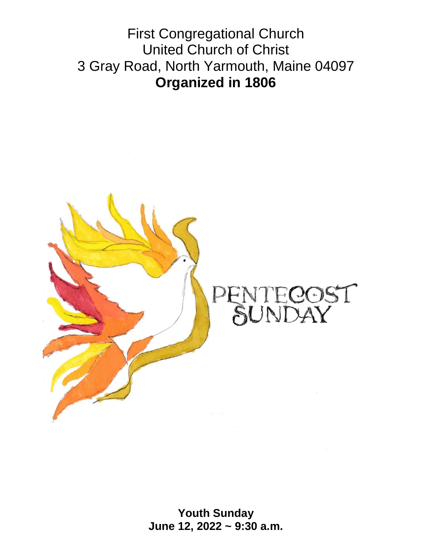First Congregational Church United Church of Christ 3 Gray Road, North Yarmouth, Maine 04097 **Organized in 1806**



**Youth Sunday June 12, 2022 ~ 9:30 a.m.**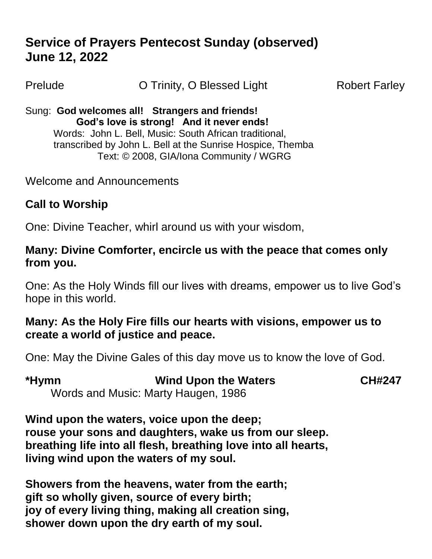# **Service of Prayers Pentecost Sunday (observed) June 12, 2022**

Prelude **O Trinity, O Blessed Light** Robert Farley

Sung: **God welcomes all! Strangers and friends! God's love is strong! And it never ends!**  Words: John L. Bell, Music: South African traditional, transcribed by John L. Bell at the Sunrise Hospice, Themba Text: © 2008, GIA/Iona Community / WGRG

Welcome and Announcements

## **Call to Worship**

One: Divine Teacher, whirl around us with your wisdom,

#### **Many: Divine Comforter, encircle us with the peace that comes only from you.**

One: As the Holy Winds fill our lives with dreams, empower us to live God's hope in this world.

#### **Many: As the Holy Fire fills our hearts with visions, empower us to create a world of justice and peace.**

One: May the Divine Gales of this day move us to know the love of God.

| *Hymn | <b>Wind Upon the Waters</b>         | <b>CH#247</b> |
|-------|-------------------------------------|---------------|
|       | Words and Music: Marty Haugen, 1986 |               |

**Wind upon the waters, voice upon the deep; rouse your sons and daughters, wake us from our sleep. breathing life into all flesh, breathing love into all hearts, living wind upon the waters of my soul.**

**Showers from the heavens, water from the earth; gift so wholly given, source of every birth; joy of every living thing, making all creation sing, shower down upon the dry earth of my soul.**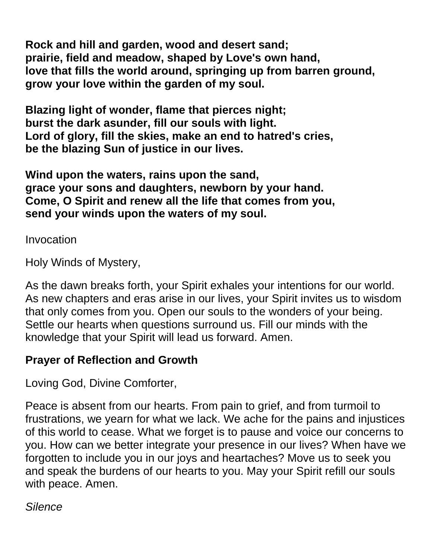**Rock and hill and garden, wood and desert sand; prairie, field and meadow, shaped by Love's own hand, love that fills the world around, springing up from barren ground, grow your love within the garden of my soul.**

**Blazing light of wonder, flame that pierces night; burst the dark asunder, fill our souls with light. Lord of glory, fill the skies, make an end to hatred's cries, be the blazing Sun of justice in our lives.**

**Wind upon the waters, rains upon the sand, grace your sons and daughters, newborn by your hand. Come, O Spirit and renew all the life that comes from you, send your winds upon the waters of my soul.**

Invocation

Holy Winds of Mystery,

As the dawn breaks forth, your Spirit exhales your intentions for our world. As new chapters and eras arise in our lives, your Spirit invites us to wisdom that only comes from you. Open our souls to the wonders of your being. Settle our hearts when questions surround us. Fill our minds with the knowledge that your Spirit will lead us forward. Amen.

## **Prayer of Reflection and Growth**

Loving God, Divine Comforter,

Peace is absent from our hearts. From pain to grief, and from turmoil to frustrations, we yearn for what we lack. We ache for the pains and injustices of this world to cease. What we forget is to pause and voice our concerns to you. How can we better integrate your presence in our lives? When have we forgotten to include you in our joys and heartaches? Move us to seek you and speak the burdens of our hearts to you. May your Spirit refill our souls with peace. Amen.

*Silence*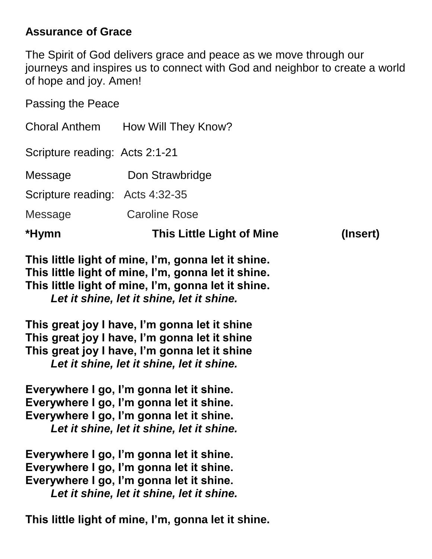### **Assurance of Grace**

The Spirit of God delivers grace and peace as we move through our journeys and inspires us to connect with God and neighbor to create a world of hope and joy. Amen!

Passing the Peace

| *Hymn                           | <b>This Little Light of Mine</b> | (Insert) |
|---------------------------------|----------------------------------|----------|
| Message                         | <b>Caroline Rose</b>             |          |
| Scripture reading: Acts 4:32-35 |                                  |          |
| Message                         | Don Strawbridge                  |          |
| Scripture reading: Acts 2:1-21  |                                  |          |
| <b>Choral Anthem</b>            | How Will They Know?              |          |

**This little light of mine, I'm, gonna let it shine. This little light of mine, I'm, gonna let it shine. This little light of mine, I'm, gonna let it shine.** *Let it shine, let it shine, let it shine.*

**This great joy I have, I'm gonna let it shine This great joy I have, I'm gonna let it shine This great joy I have, I'm gonna let it shine** *Let it shine, let it shine, let it shine.*

**Everywhere I go, I'm gonna let it shine. Everywhere I go, I'm gonna let it shine. Everywhere I go, I'm gonna let it shine.** *Let it shine, let it shine, let it shine.*

**Everywhere I go, I'm gonna let it shine. Everywhere I go, I'm gonna let it shine. Everywhere I go, I'm gonna let it shine.** *Let it shine, let it shine, let it shine.*

**This little light of mine, I'm, gonna let it shine.**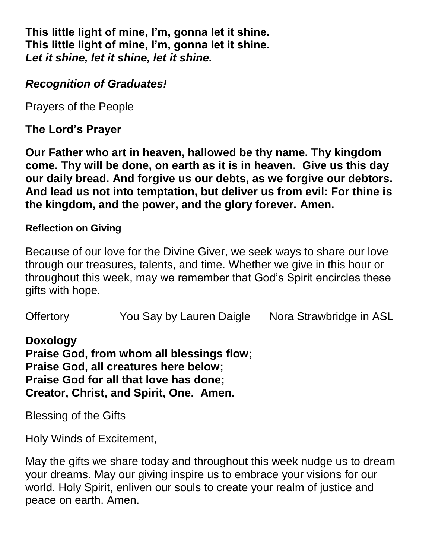**This little light of mine, I'm, gonna let it shine. This little light of mine, I'm, gonna let it shine.** *Let it shine, let it shine, let it shine.*

### *Recognition of Graduates!*

Prayers of the People

**The Lord's Prayer**

**Our Father who art in heaven, hallowed be thy name. Thy kingdom come. Thy will be done, on earth as it is in heaven. Give us this day our daily bread. And forgive us our debts, as we forgive our debtors. And lead us not into temptation, but deliver us from evil: For thine is the kingdom, and the power, and the glory forever. Amen.**

#### **Reflection on Giving**

Because of our love for the Divine Giver, we seek ways to share our love through our treasures, talents, and time. Whether we give in this hour or throughout this week, may we remember that God's Spirit encircles these gifts with hope.

Offertory You Say by Lauren Daigle Nora Strawbridge in ASL

**Doxology**

**Praise God, from whom all blessings flow; Praise God, all creatures here below; Praise God for all that love has done; Creator, Christ, and Spirit, One. Amen.** 

Blessing of the Gifts

Holy Winds of Excitement,

May the gifts we share today and throughout this week nudge us to dream your dreams. May our giving inspire us to embrace your visions for our world. Holy Spirit, enliven our souls to create your realm of justice and peace on earth. Amen.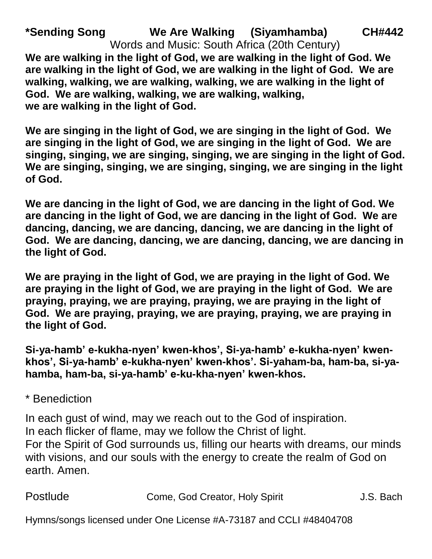**\*Sending Song We Are Walking (Siyamhamba) CH#442** Words and Music: South Africa (20th Century) **We are walking in the light of God, we are walking in the light of God. We are walking in the light of God, we are walking in the light of God. We are walking, walking, we are walking, walking, we are walking in the light of God. We are walking, walking, we are walking, walking, we are walking in the light of God.**

**We are singing in the light of God, we are singing in the light of God. We are singing in the light of God, we are singing in the light of God. We are singing, singing, we are singing, singing, we are singing in the light of God. We are singing, singing, we are singing, singing, we are singing in the light of God.**

**We are dancing in the light of God, we are dancing in the light of God. We are dancing in the light of God, we are dancing in the light of God. We are dancing, dancing, we are dancing, dancing, we are dancing in the light of God. We are dancing, dancing, we are dancing, dancing, we are dancing in the light of God.**

**We are praying in the light of God, we are praying in the light of God. We are praying in the light of God, we are praying in the light of God. We are praying, praying, we are praying, praying, we are praying in the light of God. We are praying, praying, we are praying, praying, we are praying in the light of God.**

**Si-ya-hamb' e-kukha-nyen' kwen-khos', Si-ya-hamb' e-kukha-nyen' kwenkhos', Si-ya-hamb' e-kukha-nyen' kwen-khos'. Si-yaham-ba, ham-ba, si-yahamba, ham-ba, si-ya-hamb' e-ku-kha-nyen' kwen-khos.**

\* Benediction

In each gust of wind, may we reach out to the God of inspiration. In each flicker of flame, may we follow the Christ of light. For the Spirit of God surrounds us, filling our hearts with dreams, our minds with visions, and our souls with the energy to create the realm of God on earth. Amen.

| Postlude | Come, God Creator, Holy Spirit | J.S. Bach |
|----------|--------------------------------|-----------|
|----------|--------------------------------|-----------|

Hymns/songs licensed under One License #A-73187 and CCLI #48404708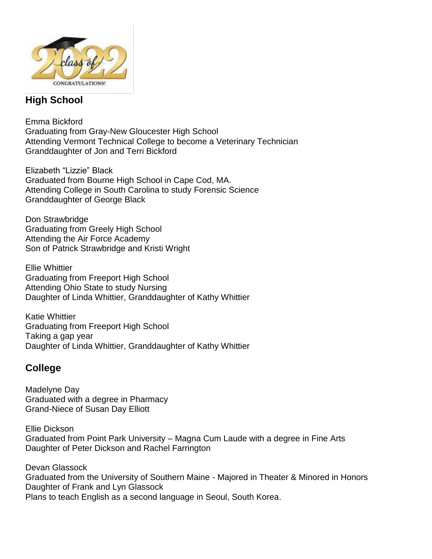

#### **High School**

Emma Bickford Graduating from Gray-New Gloucester High School Attending Vermont Technical College to become a Veterinary Technician Granddaughter of Jon and Terri Bickford

Elizabeth "Lizzie" Black Graduated from Bourne High School in Cape Cod, MA. Attending College in South Carolina to study Forensic Science Granddaughter of George Black

Don Strawbridge Graduating from Greely High School Attending the Air Force Academy Son of Patrick Strawbridge and Kristi Wright

Ellie Whittier Graduating from Freeport High School Attending Ohio State to study Nursing Daughter of Linda Whittier, Granddaughter of Kathy Whittier

Katie Whittier Graduating from Freeport High School Taking a gap year Daughter of Linda Whittier, Granddaughter of Kathy Whittier

#### **College**

Madelyne Day Graduated with a degree in Pharmacy Grand-Niece of Susan Day Elliott

Ellie Dickson Graduated from Point Park University – Magna Cum Laude with a degree in Fine Arts Daughter of Peter Dickson and Rachel Farrington

Devan Glassock Graduated from the University of Southern Maine - Majored in Theater & Minored in Honors Daughter of Frank and Lyn Glassock Plans to teach English as a second language in Seoul, South Korea.